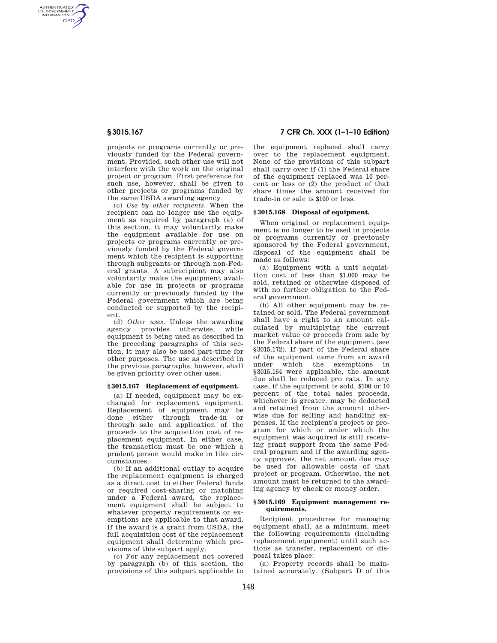AUTHENTICATED<br>U.S. GOVERNMENT<br>INFORMATION **GPO** 

> projects or programs currently or previously funded by the Federal government. Provided, such other use will not interfere with the work on the original project or program. First preference for such use, however, shall be given to other projects or programs funded by the same USDA awarding agency.

> (c) *Use by other recipients.* When the recipient can no longer use the equipment as required by paragraph (a) of this section, it may voluntarily make the equipment available for use on projects or programs currently or previously funded by the Federal government which the recipient is supporting through subgrants or through non-Federal grants. A subrecipient may also voluntarily make the equipment available for use in projects or programs currently or previously funded by the Federal government which are being conducted or supported by the recipient.

> (d) *Other uses.* Unless the awarding agency provides otherwise, while equipment is being used as described in the preceding paragraphs of this section, it may also be used part-time for other purposes. The use as described in the previous paragraphs, however, shall be given priority over other uses.

#### **§ 3015.167 Replacement of equipment.**

(a) If needed, equipment may be exchanged for replacement equipment. Replacement of equipment may be done either through trade-in or through sale and application of the proceeds to the acquisition cost of replacement equipment. In either case, the transaction must be one which a prudent person would make in like circumstances.

(b) If an additional outlay to acquire the replacement equipment is charged as a direct cost to either Federal funds or required cost-sharing or matching under a Federal award, the replacement equipment shall be subject to whatever property requirements or exemptions are applicable to that award. If the award is a grant from USDA, the full acquisition cost of the replacement. equipment shall determine which provisions of this subpart apply.

(c) For any replacement not covered by paragraph (b) of this section, the provisions of this subpart applicable to

**§ 3015.167 7 CFR Ch. XXX (1–1–10 Edition)** 

the equipment replaced shall carry over to the replacement equipment. None of the provisions of this subpart shall carry over if (1) the Federal share of the equipment replaced was 10 percent or less or (2) the product of that share times the amount received for trade-in or sale is \$100 or less.

## **§ 3015.168 Disposal of equipment.**

When original or replacement equipment is no longer to be used in projects or programs currently or previously sponsored by the Federal government, disposal of the equipment shall be made as follows:

(a) Equipment with a unit acquisition cost of less than \$1,000 may be sold, retained or otherwise disposed of with no further obligation to the Federal government.

(b) All other equipment may be retained or sold. The Federal government shall have a right to an amount calculated by multiplying the current market value or proceeds from sale by the Federal share of the equipment (see §3015.172). If part of the Federal share of the equipment came from an award under which the exemptions in §3015.164 were applicable, the amount due shall be reduced pro rata. In any case, if the equipment is sold, \$100 or 10 percent of the total sales proceeds, whichever is greater, may be deducted and retained from the amount otherwise due for selling and handling expenses. If the recipient's project or program for which or under which the equipment was acquired is still receiving grant support from the same Federal program and if the awarding agency approves, the net amount due may be used for allowable costs of that project or program. Otherwise, the net amount must be returned to the awarding agency by check or money order.

## **§ 3015.169 Equipment management requirements.**

Recipient procedures for managing equipment shall, as a minimum, meet the following requirements (including replacement equipment) until such actions as transfer, replacement or disposal takes place:

(a) Property records shall be maintained accurately. (Subpart D of this